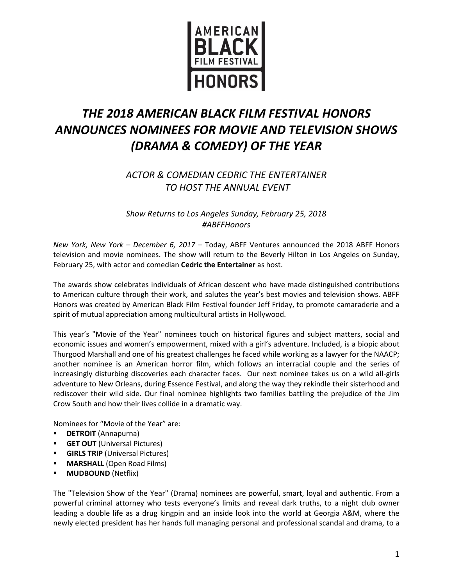

## *THE 2018 AMERICAN BLACK FILM FESTIVAL HONORS ANNOUNCES NOMINEES FOR MOVIE AND TELEVISION SHOWS (DRAMA & COMEDY) OF THE YEAR*

*ACTOR & COMEDIAN CEDRIC THE ENTERTAINER TO HOST THE ANNUAL EVENT* 

*Show Returns to Los Angeles Sunday, February 25, 2018 #ABFFHonors*

*New York, New York – December 6, 2017 –* Today, ABFF Ventures announced the 2018 ABFF Honors television and movie nominees. The show will return to the Beverly Hilton in Los Angeles on Sunday, February 25, with actor and comedian **Cedric the Entertainer** as host.

The awards show celebrates individuals of African descent who have made distinguished contributions to American culture through their work, and salutes the year's best movies and television shows. ABFF Honors was created by American Black Film Festival founder Jeff Friday, to promote camaraderie and a spirit of mutual appreciation among multicultural artists in Hollywood.

This year's "Movie of the Year" nominees touch on historical figures and subject matters, social and economic issues and women's empowerment, mixed with a girl's adventure. Included, is a biopic about Thurgood Marshall and one of his greatest challenges he faced while working as a lawyer for the NAACP; another nominee is an American horror film, which follows an interracial couple and the series of increasingly disturbing discoveries each character faces. Our next nominee takes us on a wild all-girls adventure to New Orleans, during Essence Festival, and along the way they rekindle their sisterhood and rediscover their wild side. Our final nominee highlights two families battling the prejudice of the Jim Crow South and how their lives collide in a dramatic way.

Nominees for "Movie of the Year" are:

- **DETROIT** (Annapurna)
- **GET OUT** (Universal Pictures)
- **GIRLS TRIP** (Universal Pictures)
- **MARSHALL** (Open Road Films)
- **MUDBOUND** (Netflix)

The "Television Show of the Year" (Drama) nominees are powerful, smart, loyal and authentic. From a powerful criminal attorney who tests everyone's limits and reveal dark truths, to a night club owner leading a double life as a drug kingpin and an inside look into the world at Georgia A&M, where the newly elected president has her hands full managing personal and professional scandal and drama, to a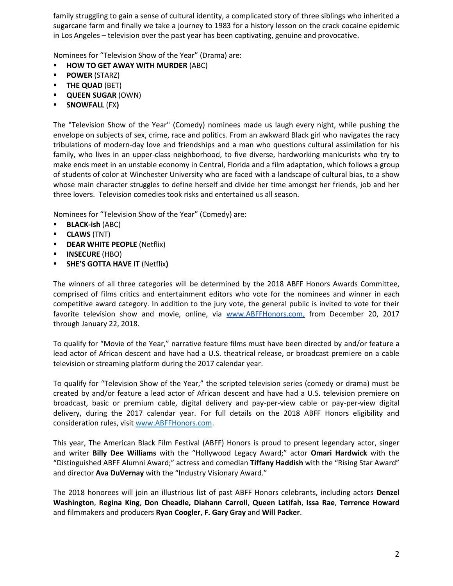family struggling to gain a sense of cultural identity, a complicated story of three siblings who inherited a sugarcane farm and finally we take a journey to 1983 for a history lesson on the crack cocaine epidemic in Los Angeles – television over the past year has been captivating, genuine and provocative.

Nominees for "Television Show of the Year" (Drama) are:

- **HOW TO GET AWAY WITH MURDER** (ABC)
- **POWER** (STARZ)
- **THE QUAD** (BET)
- **QUEEN SUGAR** (OWN)
- **SNOWFALL** (FX**)**

The "Television Show of the Year" (Comedy) nominees made us laugh every night, while pushing the envelope on subjects of sex, crime, race and politics. From an awkward Black girl who navigates the racy tribulations of modern-day love and friendships and a man who questions cultural assimilation for his family, who lives in an upper-class neighborhood, to five diverse, hardworking manicurists who try to make ends meet in an unstable economy in Central, Florida and a film adaptation, which follows a group of students of color at Winchester University who are faced with a landscape of cultural bias, to a show whose main character struggles to define herself and divide her time amongst her friends, job and her three lovers. Television comedies took risks and entertained us all season.

Nominees for "Television Show of the Year" (Comedy) are:

- **BLACK-ish** (ABC)
- **CLAWS** (TNT)
- **-** DEAR WHITE PEOPLE (Netflix)
- **INSECURE** (HBO)
- **SHE'S GOTTA HAVE IT** (Netflix**)**

The winners of all three categories will be determined by the 2018 ABFF Honors Awards Committee, comprised of films critics and entertainment editors who vote for the nominees and winner in each competitive award category. In addition to the jury vote, the general public is invited to vote for their favorite television show and movie, online, via [www.ABFFHonors.com,](http://www.abffhonors.com/) from December 20, 2017 through January 22, 2018.

To qualify for "Movie of the Year," narrative feature films must have been directed by and/or feature a lead actor of African descent and have had a U.S. theatrical release, or broadcast premiere on a cable television or streaming platform during the 2017 calendar year.

To qualify for "Television Show of the Year," the scripted television series (comedy or drama) must be created by and/or feature a lead actor of African descent and have had a U.S. television premiere on broadcast, basic or premium cable, digital delivery and pay-per-view cable or pay-per-view digital delivery, during the 2017 calendar year. For full details on the 2018 ABFF Honors eligibility and consideration rules, visit [www.ABFFHonors.com.](http://www.abffhonors.com/)

This year, The American Black Film Festival (ABFF) Honors is proud to present legendary actor, singer and writer **Billy Dee Williams** with the "Hollywood Legacy Award;" actor **Omari Hardwick** with the "Distinguished ABFF Alumni Award;" actress and comedian **Tiffany Haddish** with the "Rising Star Award" and director **Ava DuVernay** with the "Industry Visionary Award."

The 2018 honorees will join an illustrious list of past ABFF Honors celebrants, including actors **Denzel Washington**, **Regina King**, **Don Cheadle, Diahann Carroll**, **Queen Latifah**, **Issa Rae**, **Terrence Howard** and filmmakers and producers **Ryan Coogler**, **F. Gary Gray** and **Will Packer**.